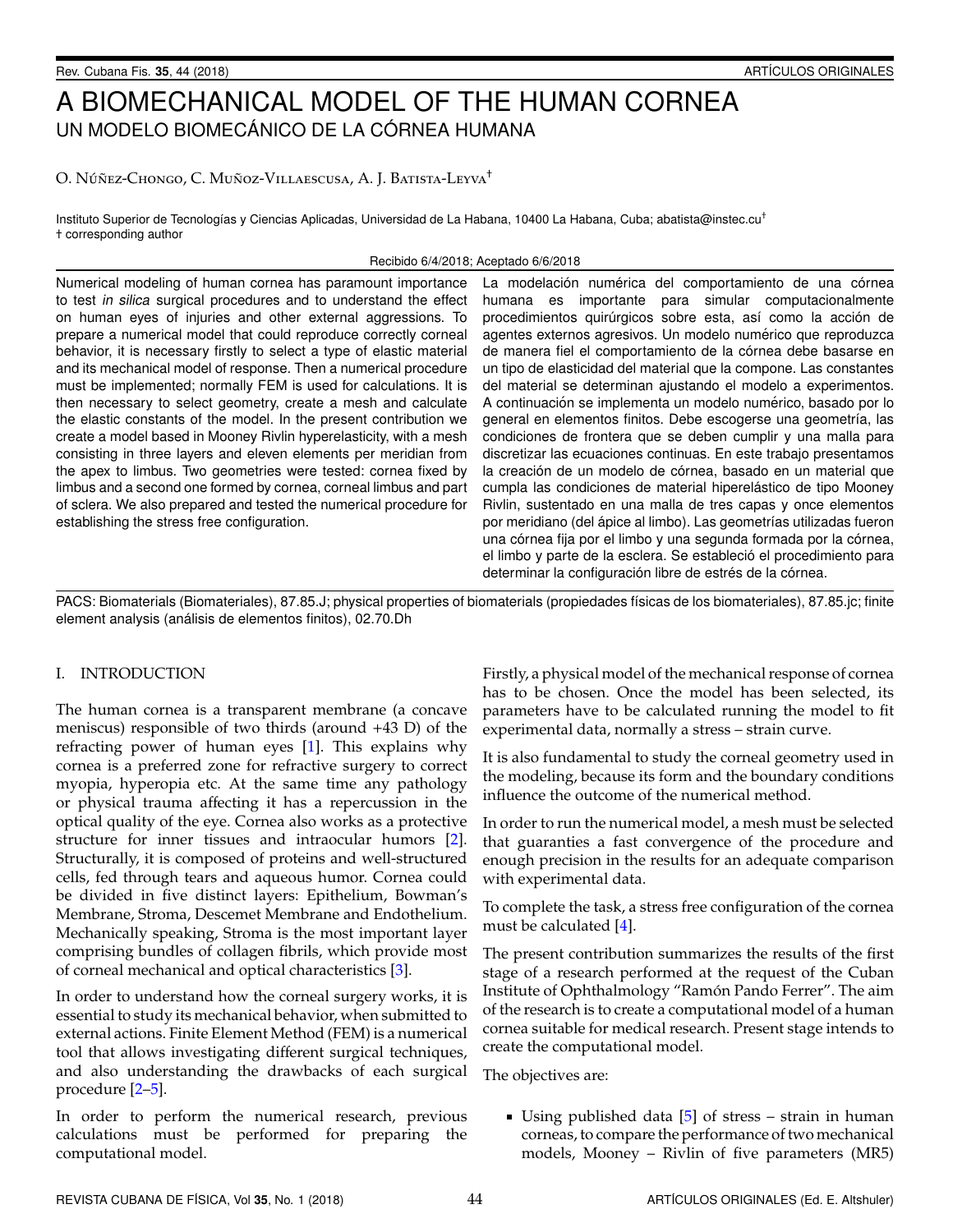# A BIOMECHANICAL MODEL OF THE HUMAN CORNEA UN MODELO BIOMECÁNICO DE LA CÓRNEA HUMANA

# O. Núñez-Chongo, C. Muñoz-Villaescusa, A. J. Batista-Leyva<sup>†</sup>

Instituto Superior de Tecnologías y Ciencias Aplicadas, Universidad de La Habana, 10400 La Habana, Cuba; abatista@instec.cu<sup>+</sup> † corresponding author

### Recibido 6/4/2018; Aceptado 6/6/2018

Numerical modeling of human cornea has paramount importance to test in silica surgical procedures and to understand the effect on human eyes of injuries and other external aggressions. To prepare a numerical model that could reproduce correctly corneal behavior, it is necessary firstly to select a type of elastic material and its mechanical model of response. Then a numerical procedure must be implemented; normally FEM is used for calculations. It is then necessary to select geometry, create a mesh and calculate the elastic constants of the model. In the present contribution we create a model based in Mooney Rivlin hyperelasticity, with a mesh consisting in three layers and eleven elements per meridian from the apex to limbus. Two geometries were tested: cornea fixed by limbus and a second one formed by cornea, corneal limbus and part of sclera. We also prepared and tested the numerical procedure for establishing the stress free configuration.

La modelación numérica del comportamiento de una córnea humana es importante para simular computacionalmente procedimientos quirúrgicos sobre esta, así como la acción de agentes externos agresivos. Un modelo numérico que reproduzca de manera fiel el comportamiento de la córnea debe basarse en un tipo de elasticidad del material que la compone. Las constantes del material se determinan ajustando el modelo a experimentos. A continuación se implementa un modelo numérico, basado por lo general en elementos finitos. Debe escogerse una geometría, las condiciones de frontera que se deben cumplir y una malla para discretizar las ecuaciones continuas. En este trabajo presentamos la creación de un modelo de córnea, basado en un material que cumpla las condiciones de material hiperelástico de tipo Mooney Rivlin, sustentado en una malla de tres capas y once elementos por meridiano (del ápice al limbo). Las geometrías utilizadas fueron una córnea fija por el limbo y una segunda formada por la córnea, el limbo y parte de la esclera. Se estableció el procedimiento para determinar la configuración libre de estrés de la córnea.

PACS: Biomaterials (Biomateriales), 87.85.J; physical properties of biomaterials (propiedades físicas de los biomateriales), 87.85.jc; finite element analysis (análisis de elementos finitos), 02.70.Dh

## I. INTRODUCTION

The human cornea is a transparent membrane (a concave meniscus) responsible of two thirds (around +43 D) of the refracting power of human eyes [\[1\]](#page-5-0). This explains why cornea is a preferred zone for refractive surgery to correct myopia, hyperopia etc. At the same time any pathology or physical trauma affecting it has a repercussion in the optical quality of the eye. Cornea also works as a protective structure for inner tissues and intraocular humors [\[2\]](#page-5-1). Structurally, it is composed of proteins and well-structured cells, fed through tears and aqueous humor. Cornea could be divided in five distinct layers: Epithelium, Bowman's Membrane, Stroma, Descemet Membrane and Endothelium. Mechanically speaking, Stroma is the most important layer comprising bundles of collagen fibrils, which provide most of corneal mechanical and optical characteristics [\[3\]](#page-5-2).

In order to understand how the corneal surgery works, it is essential to study its mechanical behavior, when submitted to external actions. Finite Element Method (FEM) is a numerical tool that allows investigating different surgical techniques, and also understanding the drawbacks of each surgical procedure [\[2–](#page-5-1)[5\]](#page-5-3).

In order to perform the numerical research, previous calculations must be performed for preparing the computational model.

Firstly, a physical model of the mechanical response of cornea has to be chosen. Once the model has been selected, its parameters have to be calculated running the model to fit experimental data, normally a stress – strain curve.

It is also fundamental to study the corneal geometry used in the modeling, because its form and the boundary conditions influence the outcome of the numerical method.

In order to run the numerical model, a mesh must be selected that guaranties a fast convergence of the procedure and enough precision in the results for an adequate comparison with experimental data.

To complete the task, a stress free configuration of the cornea must be calculated [\[4\]](#page-5-4).

The present contribution summarizes the results of the first stage of a research performed at the request of the Cuban Institute of Ophthalmology "Ramón Pando Ferrer". The aim of the research is to create a computational model of a human cornea suitable for medical research. Present stage intends to create the computational model.

The objectives are:

■ Using published data  $[5]$  of stress – strain in human corneas, to compare the performance of two mechanical models, Mooney – Rivlin of five parameters (MR5)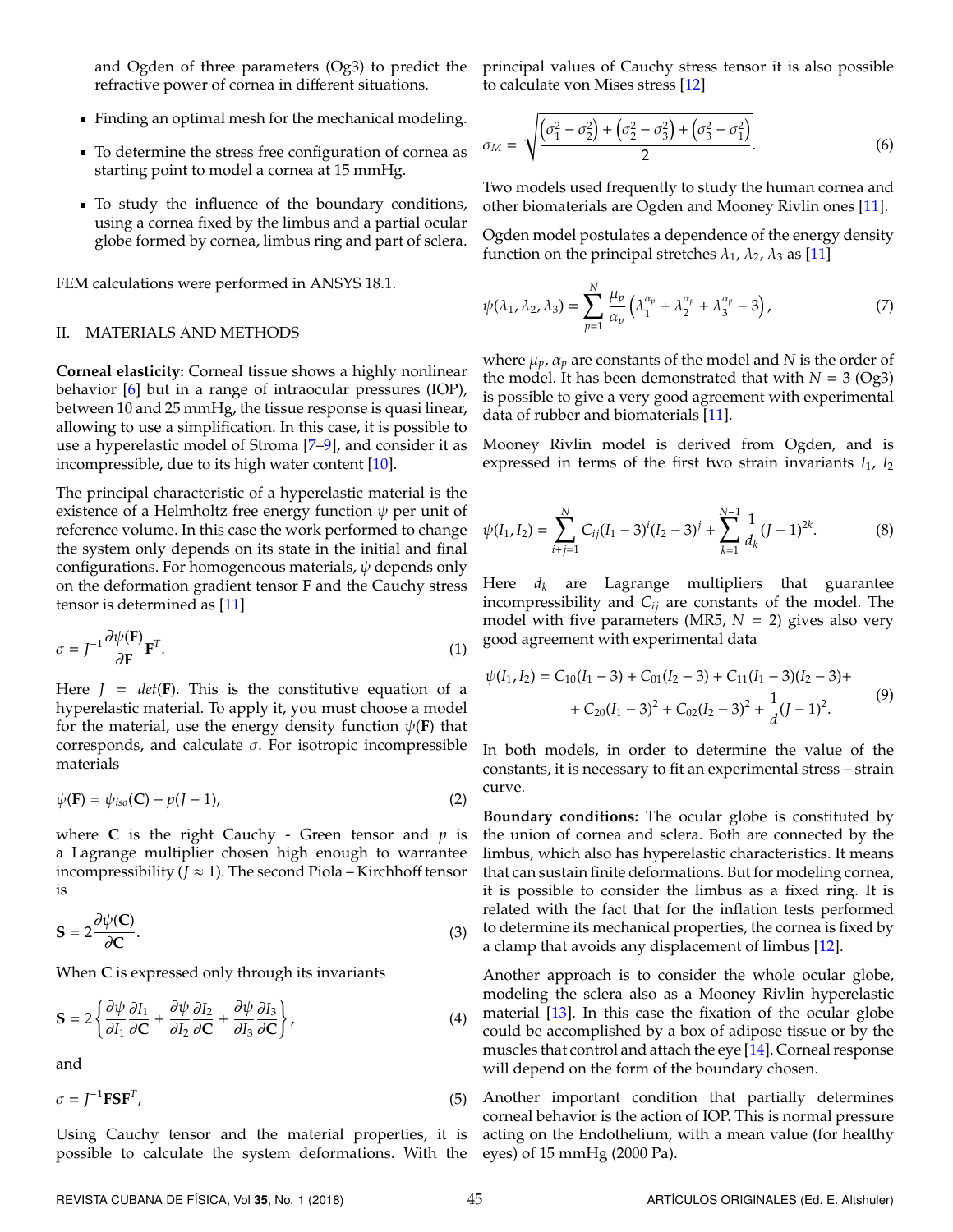and Ogden of three parameters (Og3) to predict the refractive power of cornea in different situations.

- Finding an optimal mesh for the mechanical modeling.
- To determine the stress free configuration of cornea as starting point to model a cornea at 15 mmHg.
- To study the influence of the boundary conditions, using a cornea fixed by the limbus and a partial ocular globe formed by cornea, limbus ring and part of sclera.

FEM calculations were performed in ANSYS 18.1.

## II. MATERIALS AND METHODS

**Corneal elasticity:** Corneal tissue shows a highly nonlinear behavior [\[6\]](#page-5-5) but in a range of intraocular pressures (IOP), between 10 and 25 mmHg, the tissue response is quasi linear, allowing to use a simplification. In this case, it is possible to use a hyperelastic model of Stroma [\[7](#page-5-6)[–9\]](#page-5-7), and consider it as incompressible, due to its high water content [\[10\]](#page-5-8).

The principal characteristic of a hyperelastic material is the existence of a Helmholtz free energy function  $\psi$  per unit of reference volume. In this case the work performed to change the system only depends on its state in the initial and final configurations. For homogeneous materials,  $\psi$  depends only on the deformation gradient tensor **F** and the Cauchy stress tensor is determined as [\[11\]](#page-5-9)

$$
\sigma = J^{-1} \frac{\partial \psi(\mathbf{F})}{\partial \mathbf{F}} \mathbf{F}^T.
$$
 (1)

Here  $J = det(F)$ . This is the constitutive equation of a hyperelastic material. To apply it, you must choose a model for the material, use the energy density function  $\psi$ (**F**) that corresponds, and calculate σ. For isotropic incompressible materials

$$
\psi(\mathbf{F}) = \psi_{iso}(\mathbf{C}) - p(J-1),\tag{2}
$$

where **C** is the right Cauchy - Green tensor and  $p$  is a Lagrange multiplier chosen high enough to warrantee incompressibility  $(J \approx 1)$ . The second Piola – Kirchhoff tensor is

$$
S = 2 \frac{\partial \psi(C)}{\partial C}.
$$
 (3)

When **C** is expressed only through its invariants

$$
\mathbf{S} = 2 \left\{ \frac{\partial \psi}{\partial I_1} \frac{\partial I_1}{\partial \mathbf{C}} + \frac{\partial \psi}{\partial I_2} \frac{\partial I_2}{\partial \mathbf{C}} + \frac{\partial \psi}{\partial I_3} \frac{\partial I_3}{\partial \mathbf{C}} \right\},\tag{4}
$$

and

$$
\sigma = J^{-1} \mathbf{F} \mathbf{S} \mathbf{F}^T,\tag{5}
$$

Using Cauchy tensor and the material properties, it is possible to calculate the system deformations. With the eyes) of 15 mmHg (2000 Pa).

principal values of Cauchy stress tensor it is also possible to calculate von Mises stress [\[12\]](#page-5-10)

$$
\sigma_M = \sqrt{\frac{(\sigma_1^2 - \sigma_2^2) + (\sigma_2^2 - \sigma_3^2) + (\sigma_3^2 - \sigma_1^2)}{2}}.
$$
\n(6)

Two models used frequently to study the human cornea and other biomaterials are Ogden and Mooney Rivlin ones [\[11\]](#page-5-9).

Ogden model postulates a dependence of the energy density function on the principal stretches  $\lambda_1$ ,  $\lambda_2$ ,  $\lambda_3$  as [\[11\]](#page-5-9)

$$
\psi(\lambda_1, \lambda_2, \lambda_3) = \sum_{p=1}^N \frac{\mu_p}{\alpha_p} \left( \lambda_1^{\alpha_p} + \lambda_2^{\alpha_p} + \lambda_3^{\alpha_p} - 3 \right),\tag{7}
$$

where  $\mu_p$ ,  $\alpha_p$  are constants of the model and N is the order of the model. It has been demonstrated that with  $N = 3$  (Og3) is possible to give a very good agreement with experimental data of rubber and biomaterials [\[11\]](#page-5-9).

Mooney Rivlin model is derived from Ogden, and is expressed in terms of the first two strain invariants  $I_1$ ,  $I_2$ 

$$
\psi(I_1, I_2) = \sum_{i+j=1}^{N} C_{ij} (I_1 - 3)^i (I_2 - 3)^j + \sum_{k=1}^{N-1} \frac{1}{d_k} (J - 1)^{2k}.
$$
 (8)

Here *d<sup>k</sup>* are Lagrange multipliers that guarantee incompressibility and *Cij* are constants of the model. The model with five parameters (MR5,  $N = 2$ ) gives also very good agreement with experimental data

$$
\psi(I_1, I_2) = C_{10}(I_1 - 3) + C_{01}(I_2 - 3) + C_{11}(I_1 - 3)(I_2 - 3) + C_{20}(I_1 - 3)^2 + C_{02}(I_2 - 3)^2 + \frac{1}{d}(J - 1)^2.
$$
\n(9)

In both models, in order to determine the value of the constants, it is necessary to fit an experimental stress – strain curve.

**Boundary conditions:** The ocular globe is constituted by the union of cornea and sclera. Both are connected by the limbus, which also has hyperelastic characteristics. It means that can sustain finite deformations. But for modeling cornea, it is possible to consider the limbus as a fixed ring. It is related with the fact that for the inflation tests performed to determine its mechanical properties, the cornea is fixed by a clamp that avoids any displacement of limbus [\[12\]](#page-5-10).

Another approach is to consider the whole ocular globe, modeling the sclera also as a Mooney Rivlin hyperelastic material [\[13\]](#page-5-11). In this case the fixation of the ocular globe could be accomplished by a box of adipose tissue or by the muscles that control and attach the eye [\[14\]](#page-5-12). Corneal response will depend on the form of the boundary chosen.

Another important condition that partially determines corneal behavior is the action of IOP. This is normal pressure acting on the Endothelium, with a mean value (for healthy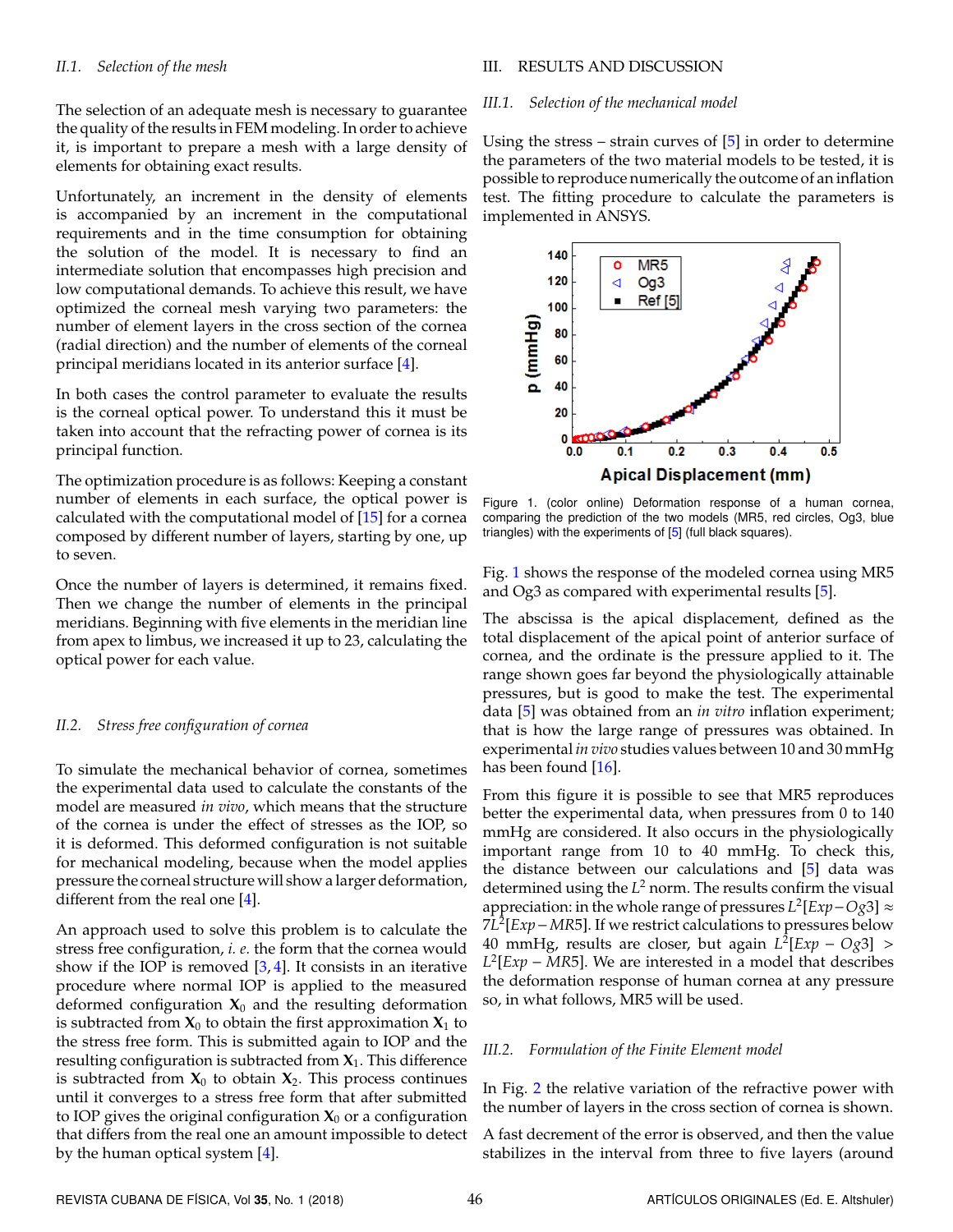#### *II.1. Selection of the mesh*

The selection of an adequate mesh is necessary to guarantee the quality of the results in FEM modeling. In order to achieve it, is important to prepare a mesh with a large density of elements for obtaining exact results.

Unfortunately, an increment in the density of elements is accompanied by an increment in the computational requirements and in the time consumption for obtaining the solution of the model. It is necessary to find an intermediate solution that encompasses high precision and low computational demands. To achieve this result, we have optimized the corneal mesh varying two parameters: the number of element layers in the cross section of the cornea (radial direction) and the number of elements of the corneal principal meridians located in its anterior surface [\[4\]](#page-5-4).

In both cases the control parameter to evaluate the results is the corneal optical power. To understand this it must be taken into account that the refracting power of cornea is its principal function.

The optimization procedure is as follows: Keeping a constant number of elements in each surface, the optical power is calculated with the computational model of [\[15\]](#page-5-13) for a cornea composed by different number of layers, starting by one, up to seven.

Once the number of layers is determined, it remains fixed. Then we change the number of elements in the principal meridians. Beginning with five elements in the meridian line from apex to limbus, we increased it up to 23, calculating the optical power for each value.

## *II.2. Stress free configuration of cornea*

To simulate the mechanical behavior of cornea, sometimes the experimental data used to calculate the constants of the model are measured *in vivo*, which means that the structure of the cornea is under the effect of stresses as the IOP, so it is deformed. This deformed configuration is not suitable for mechanical modeling, because when the model applies pressure the corneal structure will show a larger deformation, different from the real one [\[4\]](#page-5-4).

An approach used to solve this problem is to calculate the stress free configuration, *i. e.* the form that the cornea would show if the IOP is removed  $[3, 4]$  $[3, 4]$  $[3, 4]$ . It consists in an iterative procedure where normal IOP is applied to the measured deformed configuration  $X_0$  and the resulting deformation is subtracted from  $X_0$  to obtain the first approximation  $X_1$  to the stress free form. This is submitted again to IOP and the resulting configuration is subtracted from **X**1. This difference is subtracted from  $X_0$  to obtain  $X_2$ . This process continues until it converges to a stress free form that after submitted to IOP gives the original configuration  $X_0$  or a configuration that differs from the real one an amount impossible to detect by the human optical system [\[4\]](#page-5-4).

#### III. RESULTS AND DISCUSSION

#### *III.1. Selection of the mechanical model*

Using the stress – strain curves of  $[5]$  in order to determine the parameters of the two material models to be tested, it is possible to reproduce numerically the outcome of an inflation test. The fitting procedure to calculate the parameters is implemented in ANSYS.

<span id="page-2-0"></span>

Figure 1. (color online) Deformation response of a human cornea, comparing the prediction of the two models (MR5, red circles, Og3, blue triangles) with the experiments of [\[5\]](#page-5-3) (full black squares).

Fig. [1](#page-2-0) shows the response of the modeled cornea using MR5 and Og3 as compared with experimental results [\[5\]](#page-5-3).

The abscissa is the apical displacement, defined as the total displacement of the apical point of anterior surface of cornea, and the ordinate is the pressure applied to it. The range shown goes far beyond the physiologically attainable pressures, but is good to make the test. The experimental data [\[5\]](#page-5-3) was obtained from an *in vitro* inflation experiment; that is how the large range of pressures was obtained. In experimental *in vivo* studies values between 10 and 30 mmHg has been found [\[16\]](#page-5-14).

From this figure it is possible to see that MR5 reproduces better the experimental data, when pressures from 0 to 140 mmHg are considered. It also occurs in the physiologically important range from 10 to 40 mmHg. To check this, the distance between our calculations and [\[5\]](#page-5-3) data was determined using the *L* <sup>2</sup> norm. The results confirm the visual appreciation: in the whole range of pressures *L* 2 [*Exp*−*Og*3] ≈ 7*L* 2 [*Exp*−*MR*5]. If we restrict calculations to pressures below 40 mmHg, results are closer, but again *L* 2 [*Exp* − *Og*3] >  $L^2$ [*Exp* – MR5]. We are interested in a model that describes the deformation response of human cornea at any pressure so, in what follows, MR5 will be used.

#### *III.2. Formulation of the Finite Element model*

In Fig. [2](#page-3-0) the relative variation of the refractive power with the number of layers in the cross section of cornea is shown.

A fast decrement of the error is observed, and then the value stabilizes in the interval from three to five layers (around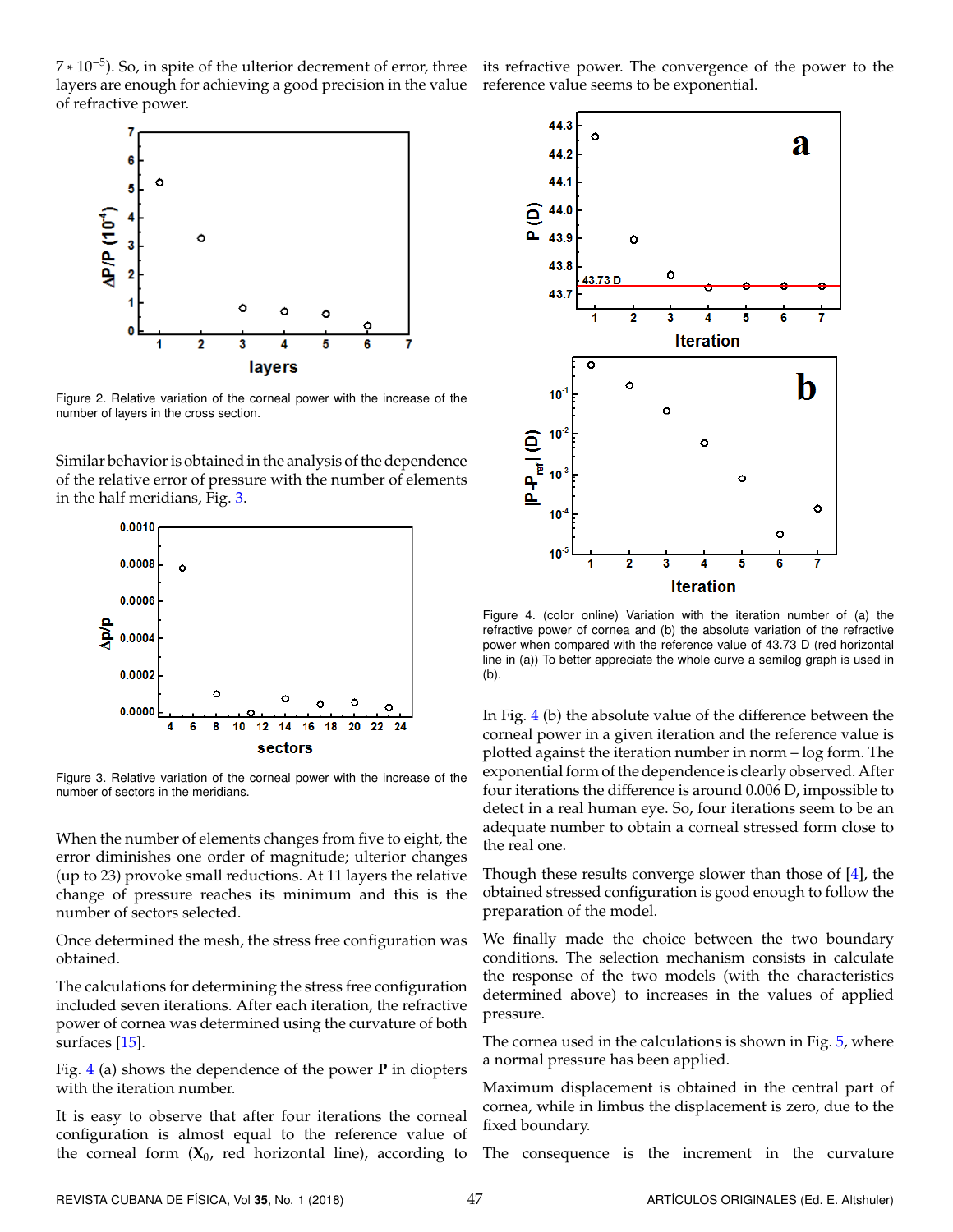7 \* 10<sup>-5</sup>). So, in spite of the ulterior decrement of error, three its refractive power. The convergence of the power to the layers are enough for achieving a good precision in the value reference value seems to be exponential. of refractive power.

<span id="page-3-0"></span>

Figure 2. Relative variation of the corneal power with the increase of the number of layers in the cross section.

Similar behavior is obtained in the analysis of the dependence of the relative error of pressure with the number of elements in the half meridians, Fig. [3.](#page-3-1)

<span id="page-3-1"></span>

Figure 3. Relative variation of the corneal power with the increase of the number of sectors in the meridians.

When the number of elements changes from five to eight, the error diminishes one order of magnitude; ulterior changes (up to 23) provoke small reductions. At 11 layers the relative change of pressure reaches its minimum and this is the number of sectors selected.

Once determined the mesh, the stress free configuration was obtained.

The calculations for determining the stress free configuration included seven iterations. After each iteration, the refractive power of cornea was determined using the curvature of both surfaces [\[15\]](#page-5-13).

Fig. [4](#page-3-2) (a) shows the dependence of the power **P** in diopters with the iteration number.

It is easy to observe that after four iterations the corneal configuration is almost equal to the reference value of the corneal form  $(X_0,$  red horizontal line), according to

<span id="page-3-2"></span>

Figure 4. (color online) Variation with the iteration number of (a) the refractive power of cornea and (b) the absolute variation of the refractive power when compared with the reference value of 43.73 D (red horizontal line in (a)) To better appreciate the whole curve a semilog graph is used in (b).

In Fig. [4](#page-3-2) (b) the absolute value of the difference between the corneal power in a given iteration and the reference value is plotted against the iteration number in norm – log form. The exponential form of the dependence is clearly observed. After four iterations the difference is around 0.006 D, impossible to detect in a real human eye. So, four iterations seem to be an adequate number to obtain a corneal stressed form close to the real one.

Though these results converge slower than those of [\[4\]](#page-5-4), the obtained stressed configuration is good enough to follow the preparation of the model.

We finally made the choice between the two boundary conditions. The selection mechanism consists in calculate the response of the two models (with the characteristics determined above) to increases in the values of applied pressure.

The cornea used in the calculations is shown in Fig. [5,](#page-4-0) where a normal pressure has been applied.

Maximum displacement is obtained in the central part of cornea, while in limbus the displacement is zero, due to the fixed boundary.

The consequence is the increment in the curvature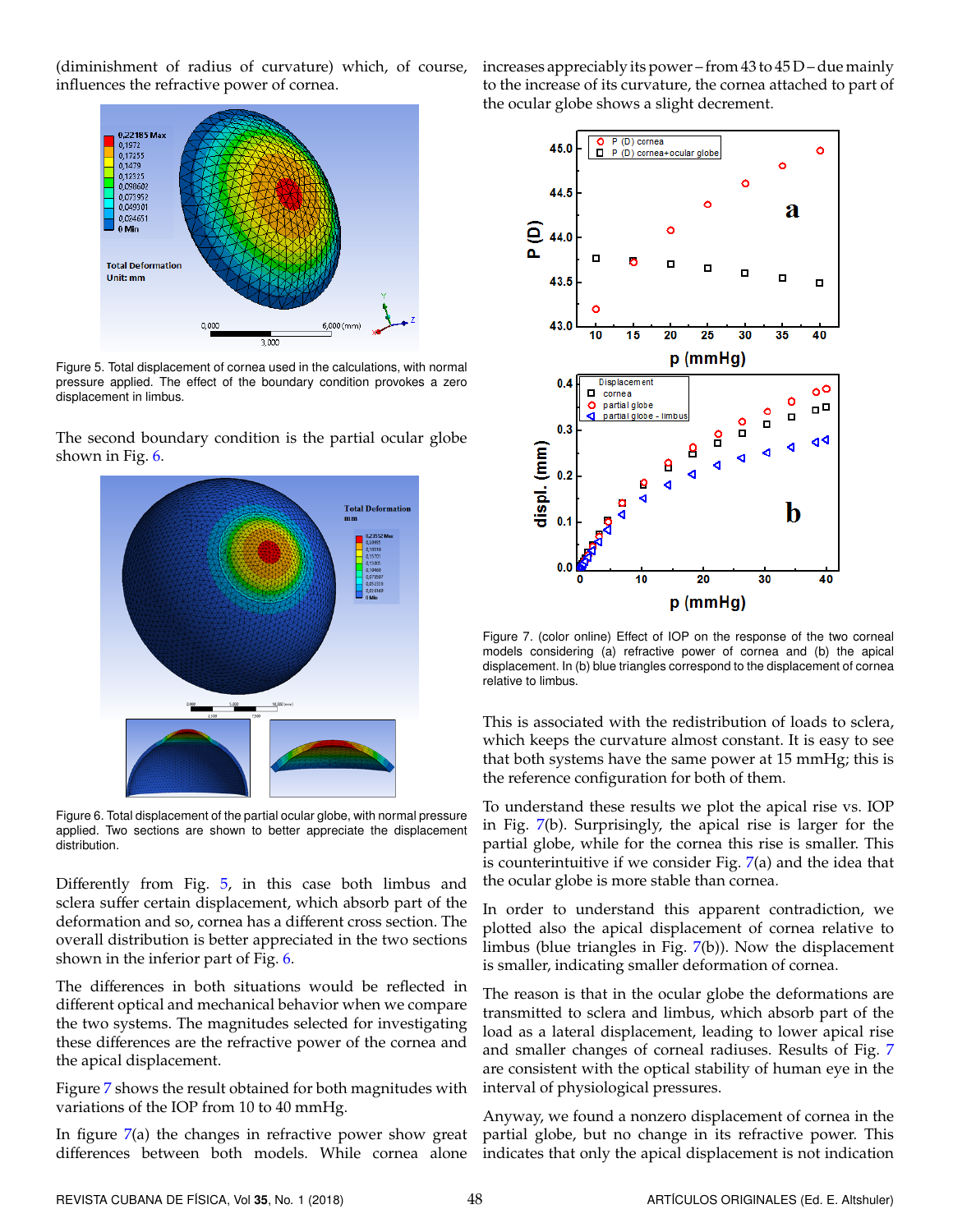(diminishment of radius of curvature) which, of course, influences the refractive power of cornea.

<span id="page-4-0"></span>

Figure 5. Total displacement of cornea used in the calculations, with normal pressure applied. The effect of the boundary condition provokes a zero displacement in limbus.

<span id="page-4-1"></span>The second boundary condition is the partial ocular globe shown in Fig. [6.](#page-4-1)



Figure 6. Total displacement of the partial ocular globe, with normal pressure applied. Two sections are shown to better appreciate the displacement distribution.

Differently from Fig. [5,](#page-4-0) in this case both limbus and sclera suffer certain displacement, which absorb part of the deformation and so, cornea has a different cross section. The overall distribution is better appreciated in the two sections shown in the inferior part of Fig. [6.](#page-4-1)

The differences in both situations would be reflected in different optical and mechanical behavior when we compare the two systems. The magnitudes selected for investigating these differences are the refractive power of the cornea and the apical displacement.

Figure [7](#page-4-2) shows the result obtained for both magnitudes with variations of the IOP from 10 to 40 mmHg.

In figure [7\(](#page-4-2)a) the changes in refractive power show great differences between both models. While cornea alone indicates that only the apical displacement is not indication

increases appreciably its power – from 43 to 45 D – due mainly to the increase of its curvature, the cornea attached to part of the ocular globe shows a slight decrement.

<span id="page-4-2"></span>

Figure 7. (color online) Effect of IOP on the response of the two corneal models considering (a) refractive power of cornea and (b) the apical displacement. In (b) blue triangles correspond to the displacement of cornea relative to limbus.

This is associated with the redistribution of loads to sclera, which keeps the curvature almost constant. It is easy to see that both systems have the same power at 15 mmHg; this is the reference configuration for both of them.

To understand these results we plot the apical rise vs. IOP in Fig. [7\(](#page-4-2)b). Surprisingly, the apical rise is larger for the partial globe, while for the cornea this rise is smaller. This is counterintuitive if we consider Fig.  $7(a)$  $7(a)$  and the idea that the ocular globe is more stable than cornea.

In order to understand this apparent contradiction, we plotted also the apical displacement of cornea relative to limbus (blue triangles in Fig. [7\(](#page-4-2)b)). Now the displacement is smaller, indicating smaller deformation of cornea.

The reason is that in the ocular globe the deformations are transmitted to sclera and limbus, which absorb part of the load as a lateral displacement, leading to lower apical rise and smaller changes of corneal radiuses. Results of Fig. [7](#page-4-2) are consistent with the optical stability of human eye in the interval of physiological pressures.

Anyway, we found a nonzero displacement of cornea in the partial globe, but no change in its refractive power. This